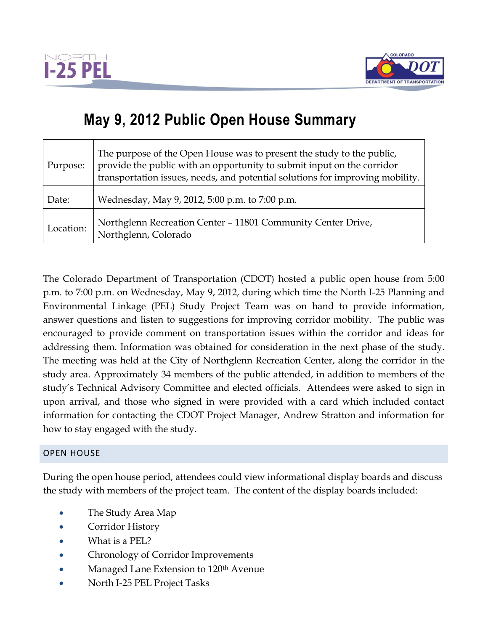



## **May 9, 2012 Public Open House Summary**

| Purpose:  | The purpose of the Open House was to present the study to the public,<br>provide the public with an opportunity to submit input on the corridor<br>transportation issues, needs, and potential solutions for improving mobility. |
|-----------|----------------------------------------------------------------------------------------------------------------------------------------------------------------------------------------------------------------------------------|
| Date:     | Wednesday, May 9, 2012, 5:00 p.m. to 7:00 p.m.                                                                                                                                                                                   |
| Location: | Northglenn Recreation Center - 11801 Community Center Drive,<br>Northglenn, Colorado                                                                                                                                             |

The Colorado Department of Transportation (CDOT) hosted a public open house from 5:00 p.m. to 7:00 p.m. on Wednesday, May 9, 2012, during which time the North I-25 Planning and Environmental Linkage (PEL) Study Project Team was on hand to provide information, answer questions and listen to suggestions for improving corridor mobility. The public was encouraged to provide comment on transportation issues within the corridor and ideas for addressing them. Information was obtained for consideration in the next phase of the study. The meeting was held at the City of Northglenn Recreation Center, along the corridor in the study area. Approximately 34 members of the public attended, in addition to members of the study's Technical Advisory Committee and elected officials. Attendees were asked to sign in upon arrival, and those who signed in were provided with a card which included contact information for contacting the CDOT Project Manager, Andrew Stratton and information for how to stay engaged with the study.

## OPEN HOUSE

During the open house period, attendees could view informational display boards and discuss the study with members of the project team. The content of the display boards included:

- The Study Area Map
- Corridor History
- What is a PEL?
- Chronology of Corridor Improvements
- Managed Lane Extension to 120<sup>th</sup> Avenue
- North I-25 PEL Project Tasks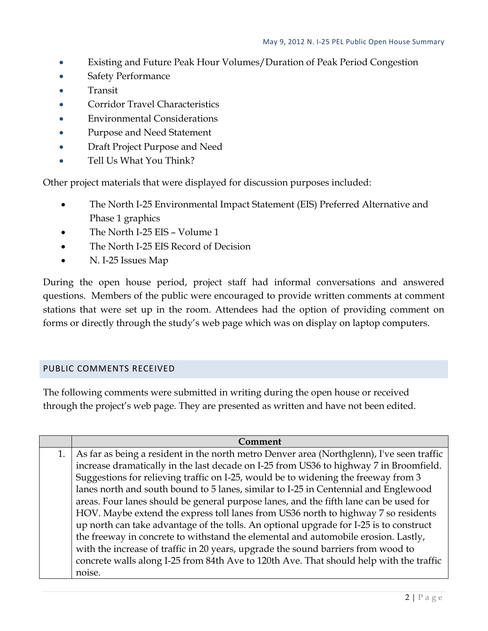- Existing and Future Peak Hour Volumes/Duration of Peak Period Congestion
- Safety Performance
- Transit
- Corridor Travel Characteristics
- Environmental Considerations
- Purpose and Need Statement
- Draft Project Purpose and Need
- Tell Us What You Think?

Other project materials that were displayed for discussion purposes included:

- The North I-25 Environmental Impact Statement (EIS) Preferred Alternative and Phase 1 graphics
- The North I-25 EIS Volume 1
- The North I-25 EIS Record of Decision
- N. I-25 Issues Map

During the open house period, project staff had informal conversations and answered questions. Members of the public were encouraged to provide written comments at comment stations that were set up in the room. Attendees had the option of providing comment on forms or directly through the study's web page which was on display on laptop computers.

## PUBLIC COMMENTS RECEIVED

The following comments were submitted in writing during the open house or received through the project's web page. They are presented as written and have not been edited.

|    | Comment                                                                                   |
|----|-------------------------------------------------------------------------------------------|
| 1. | As far as being a resident in the north metro Denver area (Northglenn), I've seen traffic |
|    | increase dramatically in the last decade on I-25 from US36 to highway 7 in Broomfield.    |
|    | Suggestions for relieving traffic on I-25, would be to widening the freeway from 3        |
|    | lanes north and south bound to 5 lanes, similar to I-25 in Centennial and Englewood       |
|    | areas. Four lanes should be general purpose lanes, and the fifth lane can be used for     |
|    | HOV. Maybe extend the express toll lanes from US36 north to highway 7 so residents        |
|    | up north can take advantage of the tolls. An optional upgrade for I-25 is to construct    |
|    | the freeway in concrete to withstand the elemental and automobile erosion. Lastly,        |
|    | with the increase of traffic in 20 years, upgrade the sound barriers from wood to         |
|    | concrete walls along I-25 from 84th Ave to 120th Ave. That should help with the traffic   |
|    | noise.                                                                                    |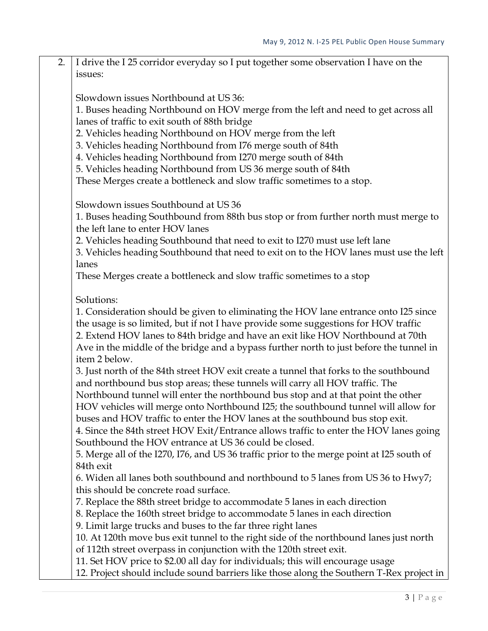2. I drive the I 25 corridor everyday so I put together some observation I have on the issues:

Slowdown issues Northbound at US 36:

1. Buses heading Northbound on HOV merge from the left and need to get across all lanes of traffic to exit south of 88th bridge

2. Vehicles heading Northbound on HOV merge from the left

3. Vehicles heading Northbound from I76 merge south of 84th

4. Vehicles heading Northbound from I270 merge south of 84th

5. Vehicles heading Northbound from US 36 merge south of 84th

These Merges create a bottleneck and slow traffic sometimes to a stop.

Slowdown issues Southbound at US 36

1. Buses heading Southbound from 88th bus stop or from further north must merge to the left lane to enter HOV lanes

2. Vehicles heading Southbound that need to exit to I270 must use left lane

3. Vehicles heading Southbound that need to exit on to the HOV lanes must use the left lanes

These Merges create a bottleneck and slow traffic sometimes to a stop

Solutions:

1. Consideration should be given to eliminating the HOV lane entrance onto I25 since the usage is so limited, but if not I have provide some suggestions for HOV traffic 2. Extend HOV lanes to 84th bridge and have an exit like HOV Northbound at 70th Ave in the middle of the bridge and a bypass further north to just before the tunnel in

item 2 below.

3. Just north of the 84th street HOV exit create a tunnel that forks to the southbound and northbound bus stop areas; these tunnels will carry all HOV traffic. The Northbound tunnel will enter the northbound bus stop and at that point the other HOV vehicles will merge onto Northbound I25; the southbound tunnel will allow for

buses and HOV traffic to enter the HOV lanes at the southbound bus stop exit.

4. Since the 84th street HOV Exit/Entrance allows traffic to enter the HOV lanes going Southbound the HOV entrance at US 36 could be closed.

5. Merge all of the I270, I76, and US 36 traffic prior to the merge point at I25 south of 84th exit

6. Widen all lanes both southbound and northbound to 5 lanes from US 36 to Hwy7; this should be concrete road surface.

7. Replace the 88th street bridge to accommodate 5 lanes in each direction

8. Replace the 160th street bridge to accommodate 5 lanes in each direction

9. Limit large trucks and buses to the far three right lanes

10. At 120th move bus exit tunnel to the right side of the northbound lanes just north

of 112th street overpass in conjunction with the 120th street exit.

11. Set HOV price to \$2.00 all day for individuals; this will encourage usage

12. Project should include sound barriers like those along the Southern T-Rex project in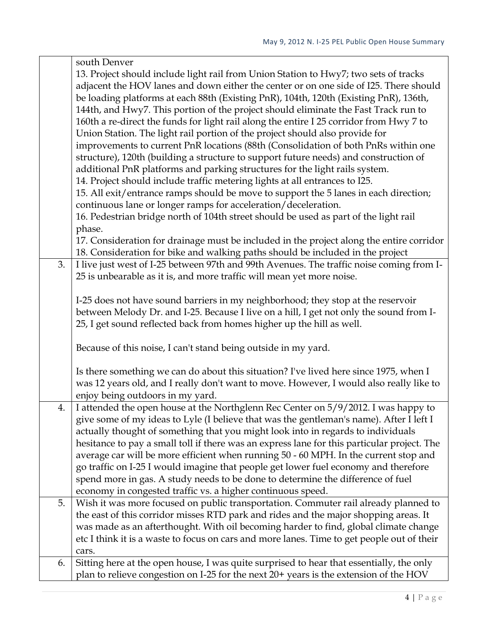|    | south Denver                                                                                                                                                                  |
|----|-------------------------------------------------------------------------------------------------------------------------------------------------------------------------------|
|    | 13. Project should include light rail from Union Station to Hwy7; two sets of tracks<br>adjacent the HOV lanes and down either the center or on one side of I25. There should |
|    | be loading platforms at each 88th (Existing PnR), 104th, 120th (Existing PnR), 136th,                                                                                         |
|    | 144th, and Hwy7. This portion of the project should eliminate the Fast Track run to                                                                                           |
|    | 160th a re-direct the funds for light rail along the entire I 25 corridor from Hwy 7 to                                                                                       |
|    | Union Station. The light rail portion of the project should also provide for                                                                                                  |
|    | improvements to current PnR locations (88th (Consolidation of both PnRs within one                                                                                            |
|    | structure), 120th (building a structure to support future needs) and construction of                                                                                          |
|    | additional PnR platforms and parking structures for the light rails system.                                                                                                   |
|    | 14. Project should include traffic metering lights at all entrances to I25.                                                                                                   |
|    | 15. All exit/entrance ramps should be move to support the 5 lanes in each direction;                                                                                          |
|    | continuous lane or longer ramps for acceleration/deceleration.                                                                                                                |
|    | 16. Pedestrian bridge north of 104th street should be used as part of the light rail                                                                                          |
|    | phase.                                                                                                                                                                        |
|    | 17. Consideration for drainage must be included in the project along the entire corridor                                                                                      |
|    | 18. Consideration for bike and walking paths should be included in the project                                                                                                |
| 3. | I live just west of I-25 between 97th and 99th Avenues. The traffic noise coming from I-                                                                                      |
|    | 25 is unbearable as it is, and more traffic will mean yet more noise.                                                                                                         |
|    |                                                                                                                                                                               |
|    | I-25 does not have sound barriers in my neighborhood; they stop at the reservoir                                                                                              |
|    | between Melody Dr. and I-25. Because I live on a hill, I get not only the sound from I-<br>25, I get sound reflected back from homes higher up the hill as well.              |
|    |                                                                                                                                                                               |
|    | Because of this noise, I can't stand being outside in my yard.                                                                                                                |
|    |                                                                                                                                                                               |
|    | Is there something we can do about this situation? I've lived here since 1975, when I                                                                                         |
|    | was 12 years old, and I really don't want to move. However, I would also really like to                                                                                       |
|    | enjoy being outdoors in my yard.                                                                                                                                              |
| 4. | I attended the open house at the Northglenn Rec Center on 5/9/2012. I was happy to                                                                                            |
|    | give some of my ideas to Lyle (I believe that was the gentleman's name). After I left I                                                                                       |
|    | actually thought of something that you might look into in regards to individuals                                                                                              |
|    | hesitance to pay a small toll if there was an express lane for this particular project. The                                                                                   |
|    | average car will be more efficient when running 50 - 60 MPH. In the current stop and                                                                                          |
|    | go traffic on I-25 I would imagine that people get lower fuel economy and therefore                                                                                           |
|    | spend more in gas. A study needs to be done to determine the difference of fuel<br>economy in congested traffic vs. a higher continuous speed.                                |
| 5. | Wish it was more focused on public transportation. Commuter rail already planned to                                                                                           |
|    | the east of this corridor misses RTD park and rides and the major shopping areas. It                                                                                          |
|    | was made as an afterthought. With oil becoming harder to find, global climate change                                                                                          |
|    | etc I think it is a waste to focus on cars and more lanes. Time to get people out of their                                                                                    |
|    | cars.                                                                                                                                                                         |
| 6. | Sitting here at the open house, I was quite surprised to hear that essentially, the only                                                                                      |
|    | plan to relieve congestion on I-25 for the next 20+ years is the extension of the HOV                                                                                         |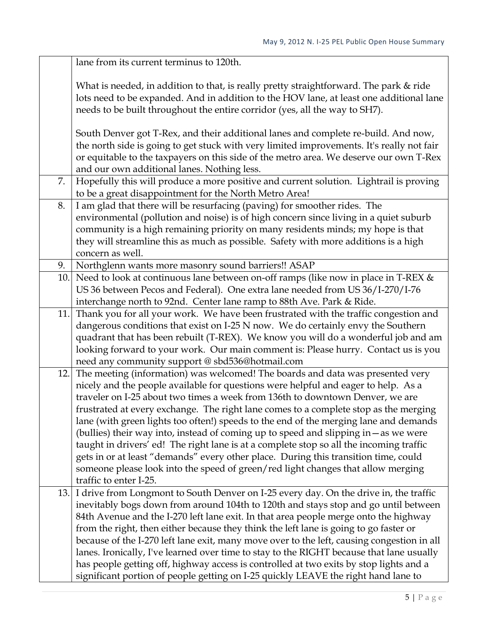|     | lane from its current terminus to 120th.                                                   |
|-----|--------------------------------------------------------------------------------------------|
|     | What is needed, in addition to that, is really pretty straightforward. The park & ride     |
|     | lots need to be expanded. And in addition to the HOV lane, at least one additional lane    |
|     | needs to be built throughout the entire corridor (yes, all the way to SH7).                |
|     |                                                                                            |
|     | South Denver got T-Rex, and their additional lanes and complete re-build. And now,         |
|     | the north side is going to get stuck with very limited improvements. It's really not fair  |
|     | or equitable to the taxpayers on this side of the metro area. We deserve our own T-Rex     |
|     | and our own additional lanes. Nothing less.                                                |
| 7.  | Hopefully this will produce a more positive and current solution. Lightrail is proving     |
|     | to be a great disappointment for the North Metro Area!                                     |
| 8.  | I am glad that there will be resurfacing (paving) for smoother rides. The                  |
|     | environmental (pollution and noise) is of high concern since living in a quiet suburb      |
|     | community is a high remaining priority on many residents minds; my hope is that            |
|     | they will streamline this as much as possible. Safety with more additions is a high        |
|     | concern as well.                                                                           |
| 9.  | Northglenn wants more masonry sound barriers!! ASAP                                        |
| 10. | Need to look at continuous lane between on-off ramps (like now in place in T-REX &         |
|     | US 36 between Pecos and Federal). One extra lane needed from US 36/I-270/I-76              |
|     | interchange north to 92nd. Center lane ramp to 88th Ave. Park & Ride.                      |
|     | 11. Thank you for all your work. We have been frustrated with the traffic congestion and   |
|     | dangerous conditions that exist on I-25 N now. We do certainly envy the Southern           |
|     | quadrant that has been rebuilt (T-REX). We know you will do a wonderful job and am         |
|     | looking forward to your work. Our main comment is: Please hurry. Contact us is you         |
|     | need any community support @ sbd536@hotmail.com                                            |
| 12. | The meeting (information) was welcomed! The boards and data was presented very             |
|     | nicely and the people available for questions were helpful and eager to help. As a         |
|     | traveler on I-25 about two times a week from 136th to downtown Denver, we are              |
|     | frustrated at every exchange. The right lane comes to a complete stop as the merging       |
|     | lane (with green lights too often!) speeds to the end of the merging lane and demands      |
|     | (bullies) their way into, instead of coming up to speed and slipping in - as we were       |
|     | taught in drivers' ed! The right lane is at a complete stop so all the incoming traffic    |
|     | gets in or at least "demands" every other place. During this transition time, could        |
|     | someone please look into the speed of green/red light changes that allow merging           |
|     | traffic to enter I-25.                                                                     |
| 13. | I drive from Longmont to South Denver on I-25 every day. On the drive in, the traffic      |
|     | inevitably bogs down from around 104th to 120th and stays stop and go until between        |
|     | 84th Avenue and the I-270 left lane exit. In that area people merge onto the highway       |
|     | from the right, then either because they think the left lane is going to go faster or      |
|     | because of the I-270 left lane exit, many move over to the left, causing congestion in all |
|     | lanes. Ironically, I've learned over time to stay to the RIGHT because that lane usually   |
|     | has people getting off, highway access is controlled at two exits by stop lights and a     |
|     | significant portion of people getting on I-25 quickly LEAVE the right hand lane to         |
|     |                                                                                            |